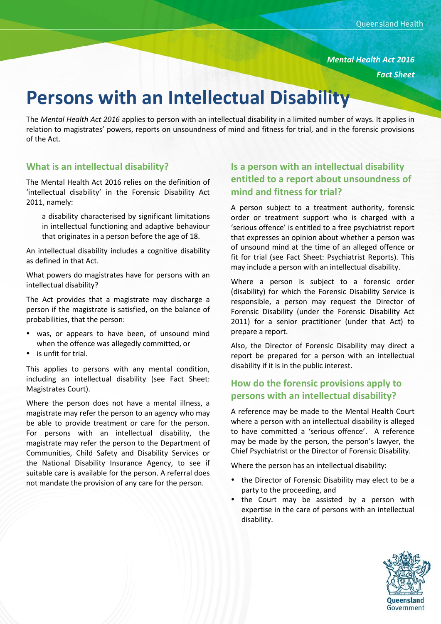*Mental Health Act 2016*

*Fact Sheet*

# **Persons with an Intellectual Disability**

The *Mental Health Act 2016* applies to person with an intellectual disability in a limited number of ways. It applies in relation to magistrates' powers, reports on unsoundness of mind and fitness for trial, and in the forensic provisions of the Act.

#### **What is an intellectual disability?**

The Mental Health Act 2016 relies on the definition of 'intellectual disability' in the Forensic Disability Act 2011, namely:

a disability characterised by significant limitations in intellectual functioning and adaptive behaviour that originates in a person before the age of 18.

An intellectual disability includes a cognitive disability as defined in that Act.

What powers do magistrates have for persons with an intellectual disability?

The Act provides that a magistrate may discharge a person if the magistrate is satisfied, on the balance of probabilities, that the person:

- was, or appears to have been, of unsound mind when the offence was allegedly committed, or
- is unfit for trial.

This applies to persons with any mental condition, including an intellectual disability (see Fact Sheet: Magistrates Court).

Where the person does not have a mental illness, a magistrate may refer the person to an agency who may be able to provide treatment or care for the person. For persons with an intellectual disability, the magistrate may refer the person to the Department of Communities, Child Safety and Disability Services or the National Disability Insurance Agency, to see if suitable care is available for the person. A referral does not mandate the provision of any care for the person.

# **Is a person with an intellectual disability entitled to a report about unsoundness of mind and fitness for trial?**

A person subject to a treatment authority, forensic order or treatment support who is charged with a 'serious offence' is entitled to a free psychiatrist report that expresses an opinion about whether a person was of unsound mind at the time of an alleged offence or fit for trial (see Fact Sheet: Psychiatrist Reports). This may include a person with an intellectual disability.

Where a person is subject to a forensic order (disability) for which the Forensic Disability Service is responsible, a person may request the Director of Forensic Disability (under the Forensic Disability Act 2011) for a senior practitioner (under that Act) to prepare a report.

Also, the Director of Forensic Disability may direct a report be prepared for a person with an intellectual disability if it is in the public interest.

### **How do the forensic provisions apply to persons with an intellectual disability?**

A reference may be made to the Mental Health Court where a person with an intellectual disability is alleged to have committed a 'serious offence'. A reference may be made by the person, the person's lawyer, the Chief Psychiatrist or the Director of Forensic Disability.

Where the person has an intellectual disability:

- the Director of Forensic Disability may elect to be a party to the proceeding, and
- the Court may be assisted by a person with expertise in the care of persons with an intellectual disability.